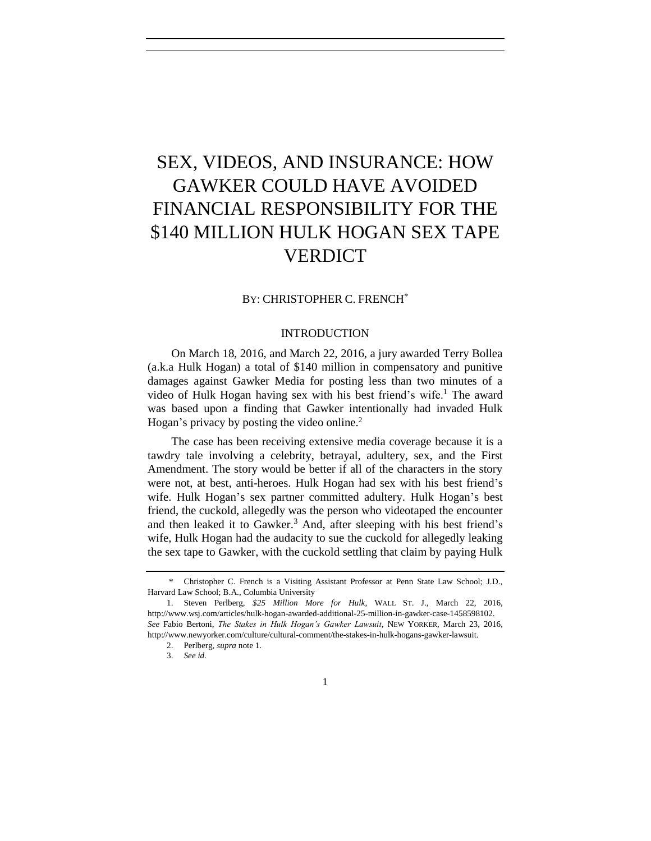# SEX, VIDEOS, AND INSURANCE: HOW GAWKER COULD HAVE AVOIDED FINANCIAL RESPONSIBILITY FOR THE \$140 MILLION HULK HOGAN SEX TAPE **VERDICT**

#### BY: CHRISTOPHER C. FRENCH\*

## <span id="page-0-0"></span>INTRODUCTION

On March 18, 2016, and March 22, 2016, a jury awarded Terry Bollea (a.k.a Hulk Hogan) a total of \$140 million in compensatory and punitive damages against Gawker Media for posting less than two minutes of a video of Hulk Hogan having sex with his best friend's wife.<sup>1</sup> The award was based upon a finding that Gawker intentionally had invaded Hulk Hogan's privacy by posting the video online.<sup>2</sup>

The case has been receiving extensive media coverage because it is a tawdry tale involving a celebrity, betrayal, adultery, sex, and the First Amendment. The story would be better if all of the characters in the story were not, at best, anti-heroes. Hulk Hogan had sex with his best friend's wife. Hulk Hogan's sex partner committed adultery. Hulk Hogan's best friend, the cuckold, allegedly was the person who videotaped the encounter and then leaked it to Gawker.<sup>3</sup> And, after sleeping with his best friend's wife, Hulk Hogan had the audacity to sue the cuckold for allegedly leaking the sex tape to Gawker, with the cuckold settling that claim by paying Hulk

<sup>\*</sup> Christopher C. French is a Visiting Assistant Professor at Penn State Law School; J.D., Harvard Law School; B.A., Columbia University

<sup>1.</sup> Steven Perlberg, *\$25 Million More for Hulk*, WALL ST. J., March 22, 2016, [http://www.wsj.com/articles/hulk-hogan-awarded-additional-25-million-in-gawker-case-1458598102.](http://www.wsj.com/articles/hulk-hogan-awarded-additional-25-million-in-gawker-case-1458598102) *See* Fabio Bertoni, *The Stakes in Hulk Hogan's Gawker Lawsuit*, NEW YORKER, March 23, 2016, [http://www.newyorker.com/culture/cultural-comment/the-stakes-in-hulk-hogans-gawker-lawsuit.](http://www.newyorker.com/culture/cultural-comment/the-stakes-in-hulk-hogans-gawker-lawsuit)

<sup>2.</sup> Perlberg, *supra* note 1.

<sup>3.</sup> *See id.*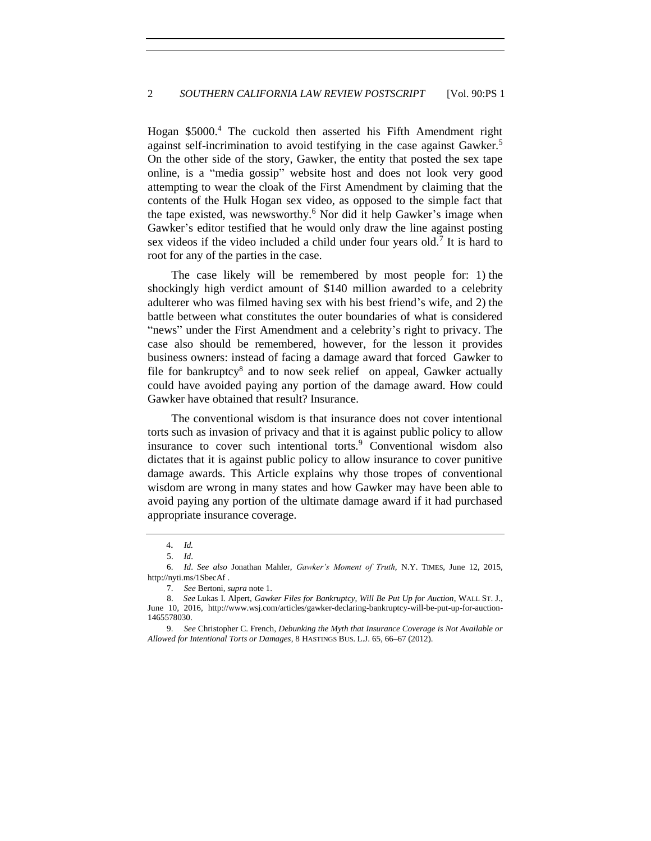Hogan \$5000. <sup>4</sup> The cuckold then asserted his Fifth Amendment right against self-incrimination to avoid testifying in the case against Gawker.<sup>5</sup> On the other side of the story, Gawker, the entity that posted the sex tape online, is a "media gossip" website host and does not look very good attempting to wear the cloak of the First Amendment by claiming that the contents of the Hulk Hogan sex video, as opposed to the simple fact that the tape existed, was newsworthy.<sup>6</sup> Nor did it help Gawker's image when Gawker's editor testified that he would only draw the line against posting sex videos if the video included a child under four years old.<sup>7</sup> It is hard to root for any of the parties in the case.

The case likely will be remembered by most people for: 1) the shockingly high verdict amount of \$140 million awarded to a celebrity adulterer who was filmed having sex with his best friend's wife, and 2) the battle between what constitutes the outer boundaries of what is considered "news" under the First Amendment and a celebrity's right to privacy. The case also should be remembered, however, for the lesson it provides business owners: instead of facing a damage award that forced Gawker to file for bankruptcy<sup>8</sup> and to now seek relief on appeal, Gawker actually could have avoided paying any portion of the damage award. How could Gawker have obtained that result? Insurance.

The conventional wisdom is that insurance does not cover intentional torts such as invasion of privacy and that it is against public policy to allow insurance to cover such intentional torts. $9$  Conventional wisdom also dictates that it is against public policy to allow insurance to cover punitive damage awards. This Article explains why those tropes of conventional wisdom are wrong in many states and how Gawker may have been able to avoid paying any portion of the ultimate damage award if it had purchased appropriate insurance coverage.

4. *Id.*

<sup>5.</sup> *Id*.

<sup>6.</sup> *Id*. *See also* Jonathan Mahler, *Gawker's Moment of Truth*, N.Y. TIMES, June 12, 2015, http://nyti.ms/1SbecAf .

<sup>7.</sup> *See* Bertoni, *supra* not[e 1.](#page-0-0)

<sup>8.</sup> *See* Lukas I. Alpert, *Gawker Files for Bankruptcy, Will Be Put Up for Auction*, WALL ST. J., June 10, 2016, http://www.wsj.com/articles/gawker-declaring-bankruptcy-will-be-put-up-for-auction-1465578030.

<sup>9.</sup> *See* Christopher C. French, *Debunking the Myth that Insurance Coverage is Not Available or Allowed for Intentional Torts or Damages*, 8 HASTINGS BUS. L.J. 65, 66–67 (2012).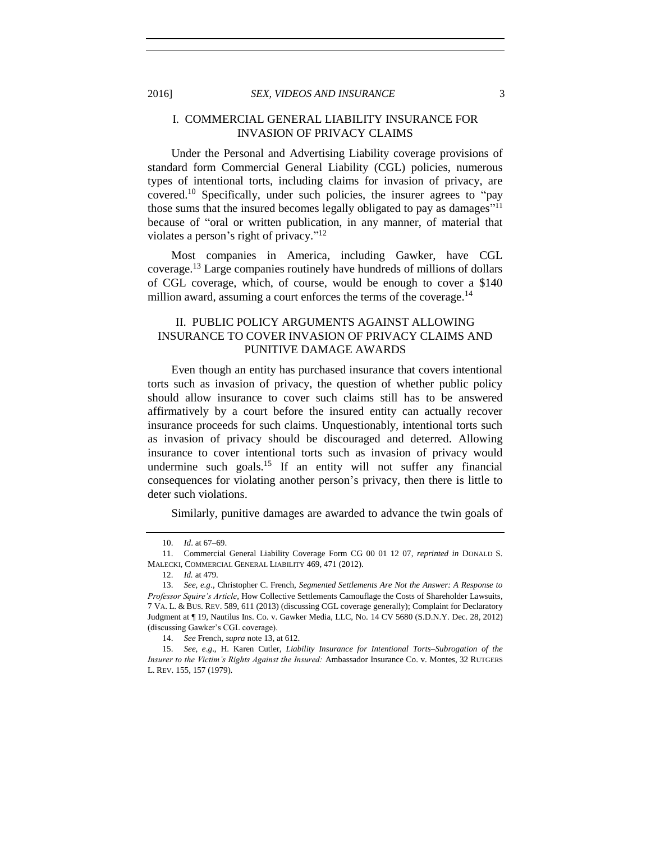## I. COMMERCIAL GENERAL LIABILITY INSURANCE FOR INVASION OF PRIVACY CLAIMS

Under the Personal and Advertising Liability coverage provisions of standard form Commercial General Liability (CGL) policies, numerous types of intentional torts, including claims for invasion of privacy, are covered.<sup>10</sup> Specifically, under such policies, the insurer agrees to "pay" those sums that the insured becomes legally obligated to pay as damages"<sup>11</sup> because of "oral or written publication, in any manner, of material that violates a person's right of privacy."<sup>12</sup>

Most companies in America, including Gawker, have CGL coverage.<sup>13</sup> Large companies routinely have hundreds of millions of dollars of CGL coverage, which, of course, would be enough to cover a \$140 million award, assuming a court enforces the terms of the coverage.<sup>14</sup>

## II. PUBLIC POLICY ARGUMENTS AGAINST ALLOWING INSURANCE TO COVER INVASION OF PRIVACY CLAIMS AND PUNITIVE DAMAGE AWARDS

Even though an entity has purchased insurance that covers intentional torts such as invasion of privacy, the question of whether public policy should allow insurance to cover such claims still has to be answered affirmatively by a court before the insured entity can actually recover insurance proceeds for such claims. Unquestionably, intentional torts such as invasion of privacy should be discouraged and deterred. Allowing insurance to cover intentional torts such as invasion of privacy would undermine such goals.<sup>15</sup> If an entity will not suffer any financial consequences for violating another person's privacy, then there is little to deter such violations.

Similarly, punitive damages are awarded to advance the twin goals of

<sup>10.</sup> *Id*. at 67–69.

<sup>11.</sup> Commercial General Liability Coverage Form CG 00 01 12 07, *reprinted in* DONALD S. MALECKI, COMMERCIAL GENERAL LIABILITY 469, 471 (2012).

<sup>12.</sup> *Id.* at 479.

<sup>13.</sup> *See, e.g*., Christopher C. French, *Segmented Settlements Are Not the Answer: A Response to Professor Squire's Article,* How Collective Settlements Camouflage the Costs of Shareholder Lawsuits*,* 7 VA. L. & BUS. REV. 589, 611 (2013) (discussing CGL coverage generally); Complaint for Declaratory Judgment at ¶ 19, Nautilus Ins. Co. v. Gawker Media, LLC, No. 14 CV 5680 (S.D.N.Y. Dec. 28, 2012) (discussing Gawker's CGL coverage).

<sup>14.</sup> *See* French*, supra* note 13, at 612.

<sup>15.</sup> *See, e*.*g*., H. Karen Cutler, *Liability Insurance for Intentional Torts–Subrogation of the Insurer to the Victim's Rights Against the Insured:* Ambassador Insurance Co. v. Montes, 32 RUTGERS L. REV. 155, 157 (1979).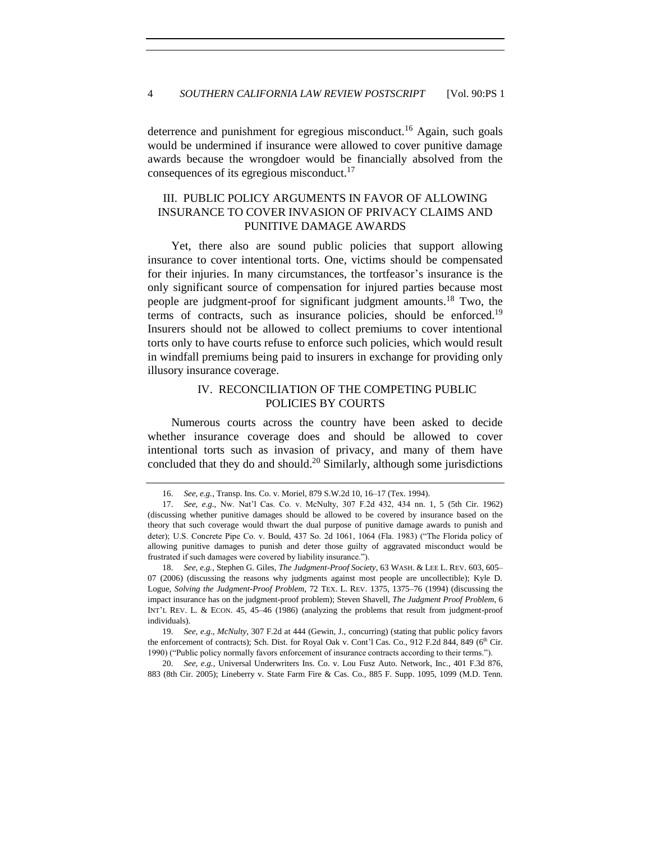deterrence and punishment for egregious misconduct.<sup>16</sup> Again, such goals would be undermined if insurance were allowed to cover punitive damage awards because the wrongdoer would be financially absolved from the consequences of its egregious misconduct.<sup>17</sup>

## III. PUBLIC POLICY ARGUMENTS IN FAVOR OF ALLOWING INSURANCE TO COVER INVASION OF PRIVACY CLAIMS AND PUNITIVE DAMAGE AWARDS

Yet, there also are sound public policies that support allowing insurance to cover intentional torts. One, victims should be compensated for their injuries. In many circumstances, the tortfeasor's insurance is the only significant source of compensation for injured parties because most people are judgment-proof for significant judgment amounts. <sup>18</sup> Two, the terms of contracts, such as insurance policies, should be enforced.<sup>19</sup> Insurers should not be allowed to collect premiums to cover intentional torts only to have courts refuse to enforce such policies, which would result in windfall premiums being paid to insurers in exchange for providing only illusory insurance coverage.

## IV. RECONCILIATION OF THE COMPETING PUBLIC POLICIES BY COURTS

Numerous courts across the country have been asked to decide whether insurance coverage does and should be allowed to cover intentional torts such as invasion of privacy, and many of them have concluded that they do and should.<sup>20</sup> Similarly, although some jurisdictions

20. *See, e.g.*, Universal Underwriters Ins. Co. v. Lou Fusz Auto. Network, Inc*.*, 401 F.3d 876, 883 (8th Cir. 2005); Lineberry v. State Farm Fire & Cas. Co*.*, 885 F. Supp. 1095, 1099 (M.D. Tenn.

<sup>16.</sup> *See, e.g.*, Transp. Ins. Co. v. Moriel*,* 879 S.W.2d 10, 16–17 (Tex. 1994).

<sup>17.</sup> *See, e*.*g*., Nw. Nat'l Cas. Co. v. McNulty, 307 F.2d 432, 434 nn. 1, 5 (5th Cir. 1962) (discussing whether punitive damages should be allowed to be covered by insurance based on the theory that such coverage would thwart the dual purpose of punitive damage awards to punish and deter); U.S. Concrete Pipe Co. v. Bould, 437 So. 2d 1061, 1064 (Fla. 1983) ("The Florida policy of allowing punitive damages to punish and deter those guilty of aggravated misconduct would be frustrated if such damages were covered by liability insurance.").

<sup>18.</sup> *See, e.g.*, Stephen G. Giles, *The Judgment-Proof Society*, 63 WASH. & LEE L. REV. 603, 605– 07 (2006) (discussing the reasons why judgments against most people are uncollectible); Kyle D. Logue, *Solving the Judgment-Proof Problem*, 72 TEX. L. REV. 1375, 1375–76 (1994) (discussing the impact insurance has on the judgment-proof problem); Steven Shavell, *The Judgment Proof Problem*, 6 INT'L REV. L. & ECON. 45, 45–46 (1986) (analyzing the problems that result from judgment-proof individuals).

<sup>19.</sup> *See, e*.*g*., *McNulty*, 307 F.2d at 444 (Gewin, J., concurring) (stating that public policy favors the enforcement of contracts); Sch. Dist. for Royal Oak v. Cont'l Cas. Co., 912 F.2d 844, 849 (6<sup>th</sup> Cir. 1990) ("Public policy normally favors enforcement of insurance contracts according to their terms.").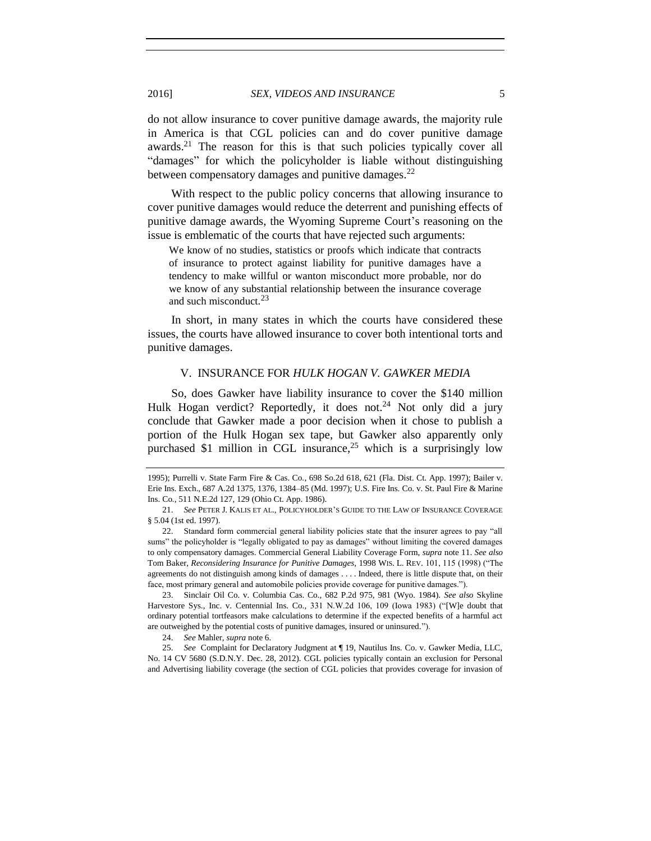do not allow insurance to cover punitive damage awards, the majority rule in America is that CGL policies can and do cover punitive damage awards.<sup>21</sup> The reason for this is that such policies typically cover all "damages" for which the policyholder is liable without distinguishing between compensatory damages and punitive damages.<sup>22</sup>

With respect to the public policy concerns that allowing insurance to cover punitive damages would reduce the deterrent and punishing effects of punitive damage awards, the Wyoming Supreme Court's reasoning on the issue is emblematic of the courts that have rejected such arguments:

We know of no studies, statistics or proofs which indicate that contracts of insurance to protect against liability for punitive damages have a tendency to make willful or wanton misconduct more probable, nor do we know of any substantial relationship between the insurance coverage and such misconduct. $^{23}$ 

In short, in many states in which the courts have considered these issues, the courts have allowed insurance to cover both intentional torts and punitive damages.

#### V. INSURANCE FOR *HULK HOGAN V. GAWKER MEDIA*

So, does Gawker have liability insurance to cover the \$140 million Hulk Hogan verdict? Reportedly, it does not.<sup>24</sup> Not only did a jury conclude that Gawker made a poor decision when it chose to publish a portion of the Hulk Hogan sex tape, but Gawker also apparently only purchased \$1 million in CGL insurance,<sup>25</sup> which is a surprisingly low

<sup>1995);</sup> Purrelli v. State Farm Fire & Cas. Co*.*, 698 So.2d 618, 621 (Fla. Dist. Ct. App. 1997); Bailer v. Erie Ins. Exch., 687 A.2d 1375, 1376, 1384–85 (Md. 1997); U.S. Fire Ins. Co. v. St. Paul Fire & Marine Ins. Co*.*, 511 N.E.2d 127, 129 (Ohio Ct. App. 1986).

<sup>21.</sup> *See* PETER J. KALIS ET AL., POLICYHOLDER'S GUIDE TO THE LAW OF INSURANCE COVERAGE § 5.04 (1st ed. 1997).

<sup>22.</sup> Standard form commercial general liability policies state that the insurer agrees to pay "all sums" the policyholder is "legally obligated to pay as damages" without limiting the covered damages to only compensatory damages. Commercial General Liability Coverage Form, *supra* note 11. *See also* Tom Baker, *Reconsidering Insurance for Punitive Damages*, 1998 WIS. L. REV. 101, 115 (1998) ("The agreements do not distinguish among kinds of damages . . . . Indeed, there is little dispute that, on their face, most primary general and automobile policies provide coverage for punitive damages.").

<sup>23.</sup> Sinclair Oil Co. v. Columbia Cas. Co., 682 P.2d 975, 981 (Wyo. 1984). *See also* Skyline Harvestore Sys., Inc. v. Centennial Ins. Co.*,* 331 N.W.2d 106, 109 (Iowa 1983) ("[W]e doubt that ordinary potential tortfeasors make calculations to determine if the expected benefits of a harmful act are outweighed by the potential costs of punitive damages, insured or uninsured.").

<sup>24.</sup> *See* Mahler, *supra* note 6.

<sup>25.</sup> *See* Complaint for Declaratory Judgment at ¶ 19, Nautilus Ins. Co. v. Gawker Media, LLC, No. 14 CV 5680 (S.D.N.Y. Dec. 28, 2012). CGL policies typically contain an exclusion for Personal and Advertising liability coverage (the section of CGL policies that provides coverage for invasion of